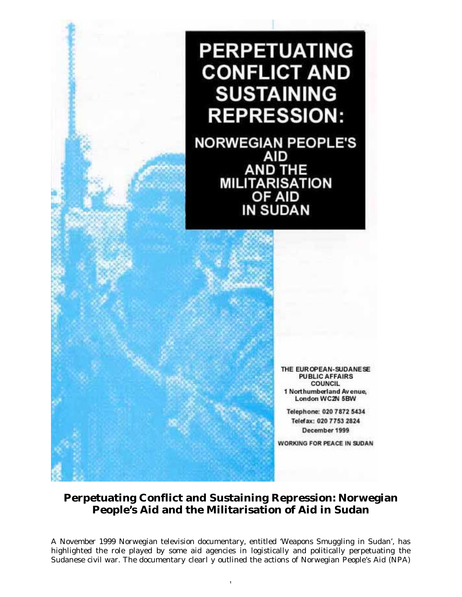## **PERPETUATING CONFLICT AND SUSTAINING REPRESSION:**

**NORWEGIAN PEOPLE'S AID** AND THE<br>MILITARISATION<br>OF AID **IN SUDAN** 

> THE EUR OPEAN-SUDANESE **PUBLIC AFFAIRS COUNCIL** 1 Northumberland Avenue, London WC2N 5BW

Telephone: 020 7872 5434 Telefax: 020 7753 2824 December 1999

WORKING FOR PEACE IN SUDAN

## **Perpetuating Conflict and Sustaining Repression: Norwegian People's Aid and the Militarisation of Aid in Sudan**

A November 1999 Norwegian television documentary, entitled 'Weapons Smuggling in Sudan', has highlighted the role played by some aid agencies in logistically and politically perpetuating the Sudanese civil war. The documentary clearl y outlined the actions of Norwegian People's Aid (NPA)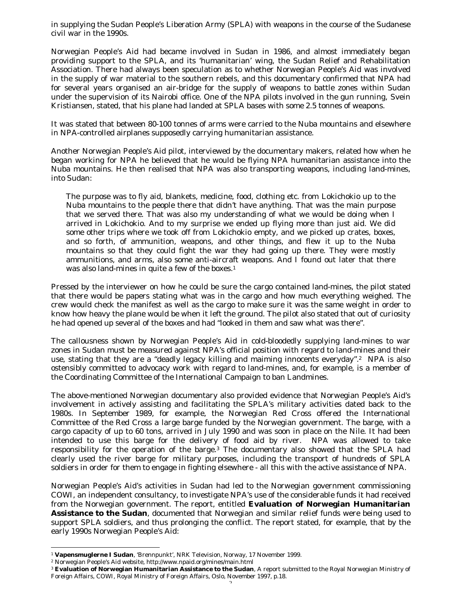in supplying the Sudan People's Liberation Army (SPLA) with weapons in the course of the Sudanese civil war in the 1990s.

Norwegian People's Aid had became involved in Sudan in 1986, and almost immediately began providing support to the SPLA, and its 'humanitarian' wing, the Sudan Relief and Rehabilitation Association. There had always been speculation as to whether Norwegian People's Aid was involved in the supply of war material to the southern rebels, and this documentary confirmed that NPA had for several years organised an air-bridge for the supply of weapons to battle zones within Sudan under the supervision of its Nairobi office. One of the NPA pilots involved in the gun running, Svein Kristiansen, stated, that his plane had landed at SPLA bases with some 2.5 tonnes of weapons.

It was stated that between 80-100 tonnes of arms were carried to the Nuba mountains and elsewhere in NPA-controlled airplanes supposedly carrying humanitarian assistance.

Another Norwegian People's Aid pilot, interviewed by the documentary makers, related how when he began working for NPA he believed that he would be flying NPA humanitarian assistance into the Nuba mountains. He then realised that NPA was also transporting weapons, including land-mines, into Sudan:

The purpose was to fly aid, blankets, medicine, food, clothing etc. from Lokichokio up to the Nuba mountains to the people there that didn't have anything. That was the main purpose that we served there. That was also my understanding of what we would be doing when I arrived in Lokichokio. And to my surprise we ended up flying more than just aid. We did some other trips where we took off from Lokichokio empty, and we picked up crates, boxes, and so forth, of ammunition, weapons, and other things, and flew it up to the Nuba mountains so that they could fight the war they had going up there. They were mostly ammunitions, and arms, also some anti-aircraft weapons. And I found out later that there was also land-mines in quite a few of the boxes.<sup>1</sup>

Pressed by the interviewer on how he could be sure the cargo contained land-mines, the pilot stated that there would be papers stating what was in the cargo and how much everything weighed. The crew would check the manifest as well as the cargo to make sure it was the same weight in order to know how heavy the plane would be when it left the ground. The pilot also stated that out of curiosity he had opened up several of the boxes and had "looked in them and saw what was there".

The callousness shown by Norwegian People's Aid in cold-bloodedly supplying land-mines to war zones in Sudan must be measured against NPA's official position with regard to land-mines and their use, stating that they are a "deadly legacy killing and maiming innocents everyday". <sup>2</sup> NPA is also ostensibly committed to advocacy work with regard to land-mines, and, for example, is a member of the Coordinating Committee of the International Campaign to ban Landmines.

The above-mentioned Norwegian documentary also provided evidence that Norwegian People's Aid's involvement in actively assisting and facilitating the SPLA's military activities dated back to the 1980s. In September 1989, for example, the Norwegian Red Cross offered the International Committee of the Red Cross a large barge funded by the Norwegian government. The barge, with a cargo capacity of up to 60 tons, arrived in July 1990 and was soon in place on the Nile. It had been intended to use this barge for the delivery of food aid by river. NPA was allowed to take responsibility for the operation of the barge.3 The documentary also showed that the SPLA had clearly used the river barge for military purposes, including the transport of hundreds of SPLA soldiers in order for them to engage in fighting elsewhere - all this with the active assistance of NPA.

Norwegian People's Aid's activities in Sudan had led to the Norwegian government commissioning COWI, an independent consultancy, to investigate NPA's use of the considerable funds it had received from the Norwegian government. The report, entitled **Evaluation of Norwegian Humanitarian Assistance to the Sudan**, documented that Norwegian and similar relief funds were being used to support SPLA soldiers, and thus prolonging the conflict. The report stated, for example, that by the early 1990s Norwegian People's Aid:

 $\overline{a}$ 

<sup>1</sup> **Vapensmuglerne I Sudan**, 'Brennpunkt', NRK Television, Norway, 17 November 1999.

<sup>2</sup> Norwegian People's Aid website, http://www.npaid.org/mines/main.html

<sup>3</sup> **Evaluation of Norwegian Humanitarian Assistance to the Sudan**, A report submitted to the Royal Norwegian Ministry of Foreign Affairs, COWI, Royal Ministry of Foreign Affairs, Oslo, November 1997, p.18.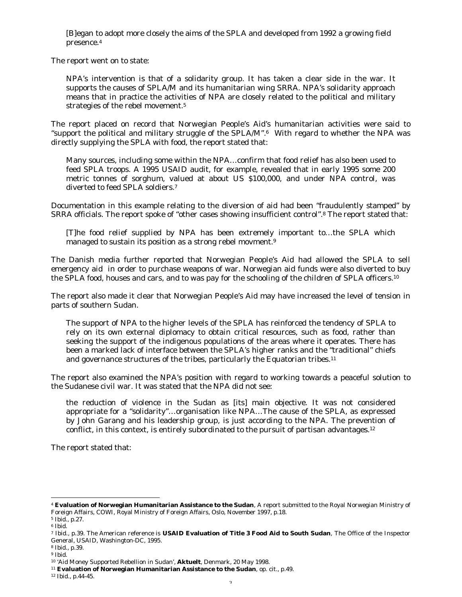[B]egan to adopt more closely the aims of the SPLA and developed from 1992 a growing field presence.<sup>4</sup>

The report went on to state:

NPA's intervention is that of a solidarity group. It has taken a clear side in the war. It supports the causes of SPLA/M and its humanitarian wing SRRA. NPA's solidarity approach means that in practice the activities of NPA are closely related to the political and military strategies of the rebel movement.<sup>5</sup>

The report placed on record that Norwegian People's Aid's humanitarian activities were said to "support the political and military struggle of the SPLA/M". <sup>6</sup> With regard to whether the NPA was directly supplying the SPLA with food, the report stated that:

Many sources, including some within the NPA… confirm that food relief has also been used to feed SPLA troops. A 1995 USAID audit, for example, revealed that in early 1995 some 200 metric tonnes of sorghum, valued at about US \$100,000, and under NPA control, was diverted to feed SPLA soldiers.<sup>7</sup>

Documentation in this example relating to the diversion of aid had been "fraudulently stamped" by SRRA officials. The report spoke of "other cases showing insufficient control". <sup>8</sup> The report stated that:

[T]he food relief supplied by NPA has been extremely important to… the SPLA which managed to sustain its position as a strong rebel movment.<sup>9</sup>

The Danish media further reported that Norwegian People's Aid had allowed the SPLA to sell emergency aid in order to purchase weapons of war. Norwegian aid funds were also diverted to buy the SPLA food, houses and cars, and to was pay for the schooling of the children of SPLA officers.<sup>10</sup>

The report also made it clear that Norwegian People's Aid may have increased the level of tension in parts of southern Sudan.

The support of NPA to the higher levels of the SPLA has reinforced the tendency of SPLA to rely on its own external diplomacy to obtain critical resources, such as food, rather than seeking the support of the indigenous populations of the areas where it operates. There has been a marked lack of interface between the SPLA's higher ranks and the "traditional" chiefs and governance structures of the tribes, particularly the Equatorian tribes.<sup>11</sup>

The report also examined the NPA's position with regard to working towards a peaceful solution to the Sudanese civil war. It was stated that the NPA did not see:

the reduction of violence in the Sudan as [its] main objective. It was not considered appropriate for a "solidarity"… organisation like NPA… The cause of the SPLA, as expressed by John Garang and his leadership group, is just according to the NPA. The prevention of conflict, in this context, is entirely subordinated to the pursuit of partisan advantages.<sup>12</sup>

The report stated that:

 $\overline{a}$ 

<sup>4</sup> **Evaluation of Norwegian Humanitarian Assistance to the Sudan**, A report submitted to the Royal Norwegian Ministry of Foreign Affairs, COWI, Royal Ministry of Foreign Affairs, Oslo, November 1997, p.18.

<sup>5</sup> Ibid., p.27.

 $^{\rm 6}$  Ibid.

<sup>7</sup> Ibid., p.39. The American reference is **USAID Evaluation of Title 3 Food Aid to South Sudan**, The Office of the Inspector General, USAID, Washington-DC, 1995.

<sup>8</sup> Ibid., p.39.

<sup>9</sup> Ibid.

<sup>10</sup> 'Aid Money Supported Rebellion in Sudan', **Aktuelt**, Denmark, 20 May 1998.

<sup>11</sup> **Evaluation of Norwegian Humanitarian Assistance to the Sudan**, op. cit., p.49.

<sup>12</sup> Ibid., p.44-45.